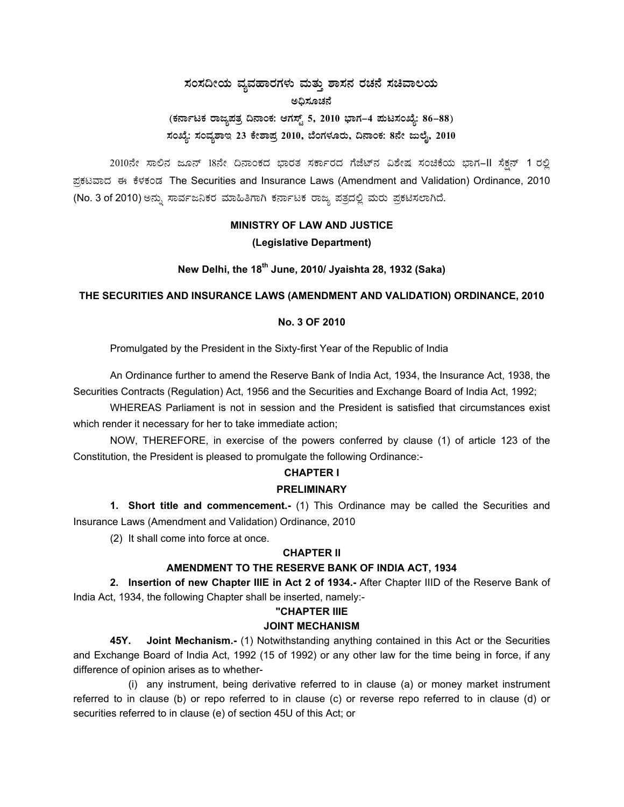## ಸಂಸದೀಯ ವ್ಯವಹಾರಗಳು ಮತ್ತು ಶಾಸನ ರಚನೆ ಸಚಿವಾಲಯ ಅಧಿಸೂಚನೆ (ಕರ್ನಾಟಕ ರಾಜ್ಯಪತ್ರ ದಿನಾಂಕ: ಆಗಸ್ಟ್ 5, 2010 ಭಾಗ–4 ಮಟಸಂಖ್ಯೆ: 86–88) ಸಂಖ್ಯೆ: ಸಂವ್ಯಶಾಇ 23 ಕೇಶಾಪ್ರ 2010, ಬೆಂಗಳೂರು, ದಿನಾಂಕ: 8ನೇ ಜುಲೈ, 2010

2010ನೇ ಸಾಲಿನ ಜೂನ್ 18ನೇ ದಿನಾಂಕದ ಭಾರತ ಸರ್ಕಾರದ ಗೆಜೆಟ್*ನ* ವಿಶೇಷ ಸಂಚಿಕೆಯ ಭಾಗ-II ಸೆಕ್ಷನ್ 1 ರಲ್ಲಿ ಪ್ರಕಟವಾದ ಈ ಕೆಳಕಂಡ The Securities and Insurance Laws (Amendment and Validation) Ordinance, 2010 (No. 3 of 2010) ಅನ್ನು ಸಾರ್ವಜನಿಕರ ಮಾಹಿತಿಗಾಗಿ ಕರ್ನಾಟಕ ರಾಜ್ಯ ಪತ್ರದಲ್ಲಿ ಮರು ಪ್ರಕಟಿಸಲಾಗಿದೆ.

### **MINISTRY OF LAW AND JUSTICE** (Legislative Department)

New Delhi, the 18<sup>th</sup> June, 2010/ Jyaishta 28, 1932 (Saka)

#### THE SECURITIES AND INSURANCE LAWS (AMENDMENT AND VALIDATION) ORDINANCE, 2010

#### No. 3 OF 2010

Promulgated by the President in the Sixty-first Year of the Republic of India

An Ordinance further to amend the Reserve Bank of India Act, 1934, the Insurance Act, 1938, the Securities Contracts (Regulation) Act, 1956 and the Securities and Exchange Board of India Act, 1992;

WHEREAS Parliament is not in session and the President is satisfied that circumstances exist which render it necessary for her to take immediate action;

NOW, THEREFORE, in exercise of the powers conferred by clause (1) of article 123 of the Constitution, the President is pleased to promulgate the following Ordinance:-

# **CHAPTER I**

#### **PRELIMINARY**

1. Short title and commencement.- (1) This Ordinance may be called the Securities and Insurance Laws (Amendment and Validation) Ordinance, 2010

(2) It shall come into force at once.

#### **CHAPTER II**

#### AMENDMENT TO THE RESERVE BANK OF INDIA ACT, 1934

2. Insertion of new Chapter IIIE in Act 2 of 1934.- After Chapter IIID of the Reserve Bank of India Act, 1934, the following Chapter shall be inserted, namely:-

#### "CHAPTER IIIE

#### **JOINT MECHANISM**

45Y. Joint Mechanism.- (1) Notwithstanding anything contained in this Act or the Securities and Exchange Board of India Act, 1992 (15 of 1992) or any other law for the time being in force, if any difference of opinion arises as to whether-

(i) any instrument, being derivative referred to in clause (a) or money market instrument referred to in clause (b) or repo referred to in clause (c) or reverse repo referred to in clause (d) or securities referred to in clause (e) of section 45U of this Act; or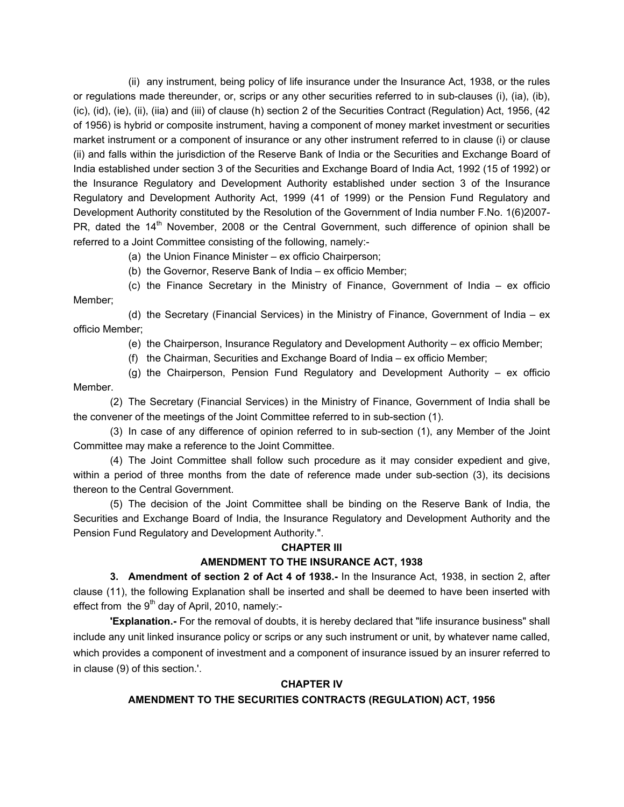(ii) any instrument, being policy of life insurance under the Insurance Act, 1938, or the rules or regulations made thereunder, or, scrips or any other securities referred to in sub-clauses (i), (ia), (ib), (ic), (id), (ie), (ii), (iia) and (iii) of clause (h) section 2 of the Securities Contract (Regulation) Act, 1956, (42 of 1956) is hybrid or composite instrument, having a component of money market investment or securities market instrument or a component of insurance or any other instrument referred to in clause (i) or clause (ii) and falls within the jurisdiction of the Reserve Bank of India or the Securities and Exchange Board of India established under section 3 of the Securities and Exchange Board of India Act, 1992 (15 of 1992) or the Insurance Regulatory and Development Authority established under section 3 of the Insurance Regulatory and Development Authority Act, 1999 (41 of 1999) or the Pension Fund Regulatory and Development Authority constituted by the Resolution of the Government of India number F.No. 1(6)2007- PR, dated the 14<sup>th</sup> November, 2008 or the Central Government, such difference of opinion shall be referred to a Joint Committee consisting of the following, namely:-

(a) the Union Finance Minister – ex officio Chairperson;

(b) the Governor, Reserve Bank of India – ex officio Member;

 (c) the Finance Secretary in the Ministry of Finance, Government of India – ex officio Member;

 (d) the Secretary (Financial Services) in the Ministry of Finance, Government of India – ex officio Member;

(e) the Chairperson, Insurance Regulatory and Development Authority – ex officio Member;

(f) the Chairman, Securities and Exchange Board of India – ex officio Member;

 (g) the Chairperson, Pension Fund Regulatory and Development Authority – ex officio Member.

 (2) The Secretary (Financial Services) in the Ministry of Finance, Government of India shall be the convener of the meetings of the Joint Committee referred to in sub-section (1).

 (3) In case of any difference of opinion referred to in sub-section (1), any Member of the Joint Committee may make a reference to the Joint Committee.

 (4) The Joint Committee shall follow such procedure as it may consider expedient and give, within a period of three months from the date of reference made under sub-section (3), its decisions thereon to the Central Government.

 (5) The decision of the Joint Committee shall be binding on the Reserve Bank of India, the Securities and Exchange Board of India, the Insurance Regulatory and Development Authority and the Pension Fund Regulatory and Development Authority.".

#### **CHAPTER III**

#### **AMENDMENT TO THE INSURANCE ACT, 1938**

**3. Amendment of section 2 of Act 4 of 1938.-** In the Insurance Act, 1938, in section 2, after clause (11), the following Explanation shall be inserted and shall be deemed to have been inserted with effect from the  $9<sup>th</sup>$  day of April, 2010, namely:-

**'Explanation.-** For the removal of doubts, it is hereby declared that "life insurance business" shall include any unit linked insurance policy or scrips or any such instrument or unit, by whatever name called, which provides a component of investment and a component of insurance issued by an insurer referred to in clause (9) of this section.'.

#### **CHAPTER IV**

#### **AMENDMENT TO THE SECURITIES CONTRACTS (REGULATION) ACT, 1956**